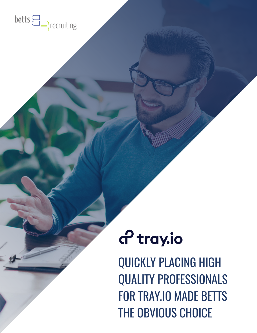

# a<sup>2</sup> tray.io

QUICKLY PLACING HIGH QUALITY PROFESSIONALS FOR TRAY.IO MADE BETTS THE OBVIOUS CHOICE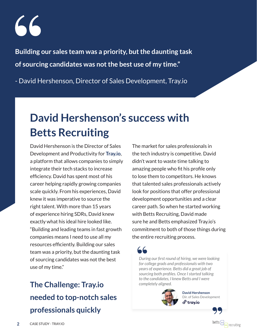**Building our sales team was a priority, but the daunting task of sourcing candidates was not the best use of my time."** 

- David Hershenson, Director of Sales Development, Tray.io

## **David Hershenson's success with Betts Recruiting**

David Hershenson is the Director of Sales Development and Productivity for **[Tray.io](http://Tray.io)**, a platform that allows companies to simply integrate their tech stacks to increase efficiency. David has spent most of his career helping rapidly growing companies scale quickly. From his experiences, David knew it was imperative to source the right talent. With more than 15 years of experience hiring SDRs, David knew exactly what his ideal hire looked like. "Building and leading teams in fast growth companies means I need to use all my resources efficiently. Building our sales team was a priority, but the daunting task of sourcing candidates was not the best use of my time."

### **The Challenge: Tray.io needed to top-notch sales professionals quickly**

The market for sales professionals in the tech industry is competitive. David didn't want to waste time talking to amazing people who fit his profile only to lose them to competitors. He knows that talented sales professionals actively look for positions that offer professional development opportunities and a clear career path. So when he started working with Betts Recruiting, David made sure he and Betts emphasized Tray.io's commitment to both of those things during the entire recruiting process.

*During our first round of hiring, we were looking for college grads and professionals with two years of experience. Betts did a great job of sourcing both profiles. Once I started talking to the candidates, I knew Betts and I were completely aligned.*



**David Hershenson** Dir. of Sales Developmentයි tray.io

 $\sqrt{2}$  recruiting